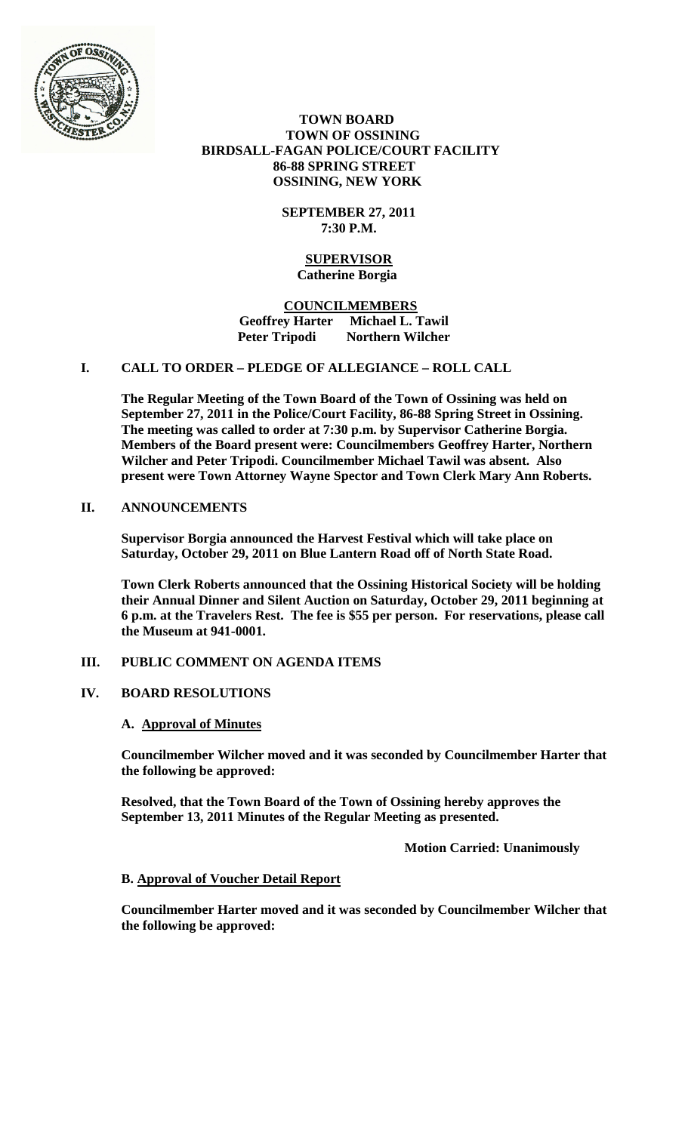

 **TOWN BOARD TOWN OF OSSINING BIRDSALL-FAGAN POLICE/COURT FACILITY 86-88 SPRING STREET OSSINING, NEW YORK**

> **SEPTEMBER 27, 2011 7:30 P.M.**

#### **SUPERVISOR Catherine Borgia**

 **COUNCILMEMBERS Geoffrey Harter Michael L. Tawil Peter Tripodi Northern Wilcher**

# **I. CALL TO ORDER – PLEDGE OF ALLEGIANCE – ROLL CALL**

**The Regular Meeting of the Town Board of the Town of Ossining was held on September 27, 2011 in the Police/Court Facility, 86-88 Spring Street in Ossining. The meeting was called to order at 7:30 p.m. by Supervisor Catherine Borgia. Members of the Board present were: Councilmembers Geoffrey Harter, Northern Wilcher and Peter Tripodi. Councilmember Michael Tawil was absent. Also present were Town Attorney Wayne Spector and Town Clerk Mary Ann Roberts.**

# **II. ANNOUNCEMENTS**

**Supervisor Borgia announced the Harvest Festival which will take place on Saturday, October 29, 2011 on Blue Lantern Road off of North State Road.** 

**Town Clerk Roberts announced that the Ossining Historical Society will be holding their Annual Dinner and Silent Auction on Saturday, October 29, 2011 beginning at 6 p.m. at the Travelers Rest. The fee is \$55 per person. For reservations, please call the Museum at 941-0001.**

### **III. PUBLIC COMMENT ON AGENDA ITEMS**

# **IV. BOARD RESOLUTIONS**

### **A. Approval of Minutes**

**Councilmember Wilcher moved and it was seconded by Councilmember Harter that the following be approved:**

**Resolved, that the Town Board of the Town of Ossining hereby approves the September 13, 2011 Minutes of the Regular Meeting as presented.**

**Motion Carried: Unanimously**

### **B. Approval of Voucher Detail Report**

**Councilmember Harter moved and it was seconded by Councilmember Wilcher that the following be approved:**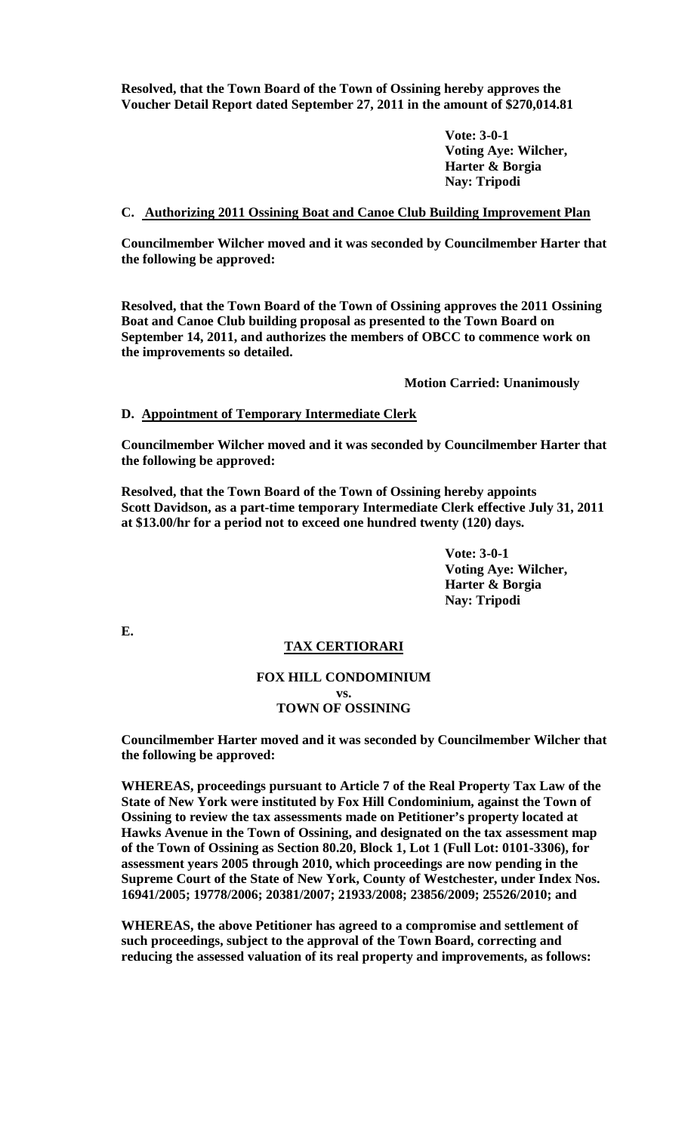**Resolved, that the Town Board of the Town of Ossining hereby approves the Voucher Detail Report dated September 27, 2011 in the amount of \$270,014.81**

> **Vote: 3-0-1 Voting Aye: Wilcher, Harter & Borgia Nay: Tripodi**

#### **C. Authorizing 2011 Ossining Boat and Canoe Club Building Improvement Plan**

**Councilmember Wilcher moved and it was seconded by Councilmember Harter that the following be approved:**

**Resolved, that the Town Board of the Town of Ossining approves the 2011 Ossining Boat and Canoe Club building proposal as presented to the Town Board on September 14, 2011, and authorizes the members of OBCC to commence work on the improvements so detailed.**

**Motion Carried: Unanimously**

#### **D. Appointment of Temporary Intermediate Clerk**

**Councilmember Wilcher moved and it was seconded by Councilmember Harter that the following be approved:**

**Resolved, that the Town Board of the Town of Ossining hereby appoints Scott Davidson, as a part-time temporary Intermediate Clerk effective July 31, 2011 at \$13.00/hr for a period not to exceed one hundred twenty (120) days.**

> **Vote: 3-0-1 Voting Aye: Wilcher, Harter & Borgia Nay: Tripodi**

**E.**

### **TAX CERTIORARI**

### **FOX HILL CONDOMINIUM vs. TOWN OF OSSINING**

**Councilmember Harter moved and it was seconded by Councilmember Wilcher that the following be approved:**

**WHEREAS, proceedings pursuant to Article 7 of the Real Property Tax Law of the State of New York were instituted by Fox Hill Condominium, against the Town of Ossining to review the tax assessments made on Petitioner's property located at Hawks Avenue in the Town of Ossining, and designated on the tax assessment map of the Town of Ossining as Section 80.20, Block 1, Lot 1 (Full Lot: 0101-3306), for assessment years 2005 through 2010, which proceedings are now pending in the Supreme Court of the State of New York, County of Westchester, under Index Nos. 16941/2005; 19778/2006; 20381/2007; 21933/2008; 23856/2009; 25526/2010; and** 

**WHEREAS, the above Petitioner has agreed to a compromise and settlement of such proceedings, subject to the approval of the Town Board, correcting and reducing the assessed valuation of its real property and improvements, as follows:**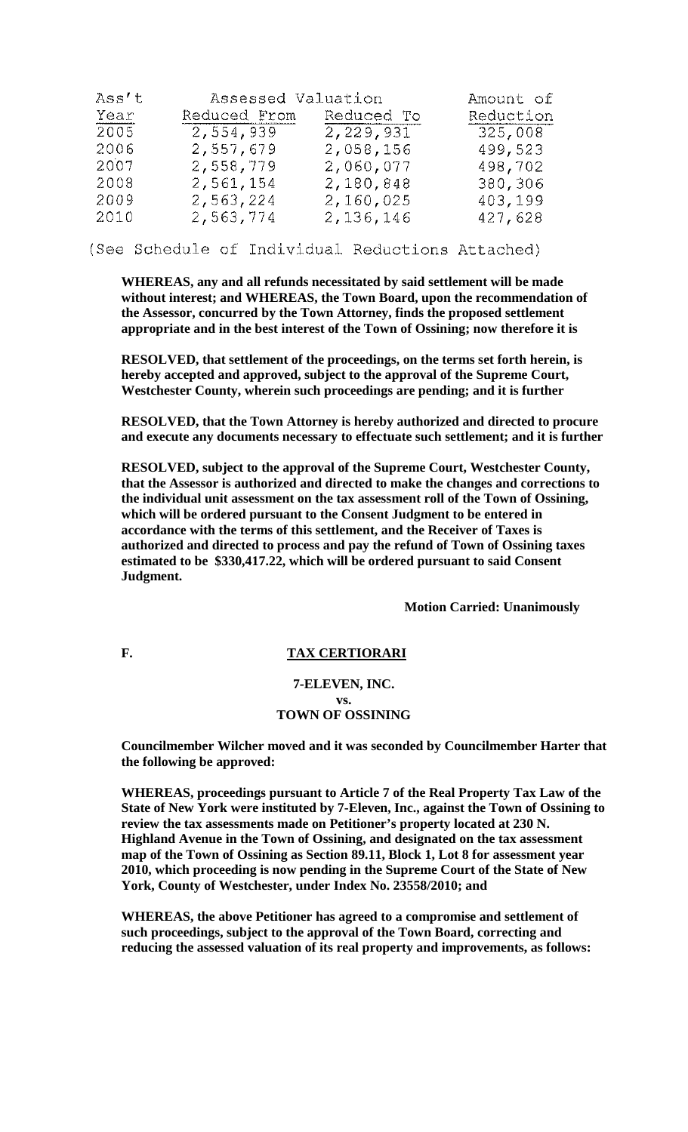| Ass't | Assessed Valuation |             | Amount of |
|-------|--------------------|-------------|-----------|
| Year  | Reduced From       | Reduced To  | Reduction |
| 2005  | 2,554,939          | 2, 229, 931 | 325,008   |
| 2006  | 2,557,679          | 2,058,156   | 499,523   |
| 2007  | 2,558,779          | 2,060,077   | 498,702   |
| 2008  | 2,561,154          | 2,180,848   | 380,306   |
| 2009  | 2,563,224          | 2,160,025   | 403,199   |
| 2010  | 2,563,774          | 2,136,146   | 427,628   |

(See Schedule of Individual Reductions Attached)

**WHEREAS, any and all refunds necessitated by said settlement will be made without interest; and WHEREAS, the Town Board, upon the recommendation of the Assessor, concurred by the Town Attorney, finds the proposed settlement appropriate and in the best interest of the Town of Ossining; now therefore it is** 

**RESOLVED, that settlement of the proceedings, on the terms set forth herein, is hereby accepted and approved, subject to the approval of the Supreme Court, Westchester County, wherein such proceedings are pending; and it is further** 

**RESOLVED, that the Town Attorney is hereby authorized and directed to procure and execute any documents necessary to effectuate such settlement; and it is further** 

**RESOLVED, subject to the approval of the Supreme Court, Westchester County, that the Assessor is authorized and directed to make the changes and corrections to the individual unit assessment on the tax assessment roll of the Town of Ossining, which will be ordered pursuant to the Consent Judgment to be entered in accordance with the terms of this settlement, and the Receiver of Taxes is authorized and directed to process and pay the refund of Town of Ossining taxes estimated to be \$330,417.22, which will be ordered pursuant to said Consent Judgment.**

**Motion Carried: Unanimously**

#### F. TAX CERTIORARI

### **7-ELEVEN, INC. vs. TOWN OF OSSINING**

**Councilmember Wilcher moved and it was seconded by Councilmember Harter that the following be approved:**

**WHEREAS, proceedings pursuant to Article 7 of the Real Property Tax Law of the State of New York were instituted by 7-Eleven, Inc., against the Town of Ossining to review the tax assessments made on Petitioner's property located at 230 N. Highland Avenue in the Town of Ossining, and designated on the tax assessment map of the Town of Ossining as Section 89.11, Block 1, Lot 8 for assessment year 2010, which proceeding is now pending in the Supreme Court of the State of New York, County of Westchester, under Index No. 23558/2010; and** 

**WHEREAS, the above Petitioner has agreed to a compromise and settlement of such proceedings, subject to the approval of the Town Board, correcting and reducing the assessed valuation of its real property and improvements, as follows:**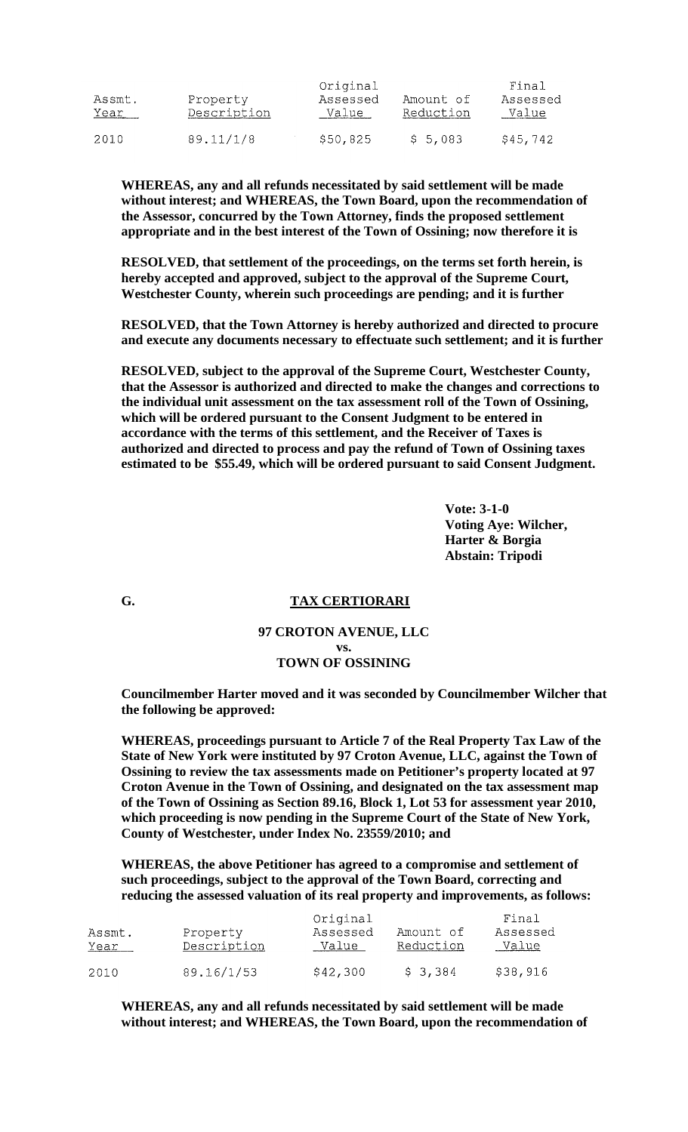| Assmt.<br>Year | Property<br>Description | Original<br>Assessed<br>Value | Amount of<br>Reduction | Final<br>Assessed<br>Value |
|----------------|-------------------------|-------------------------------|------------------------|----------------------------|
| 2010           | 89.11/1/8               | \$50,825                      | \$5,083                | \$45,742                   |

**WHEREAS, any and all refunds necessitated by said settlement will be made without interest; and WHEREAS, the Town Board, upon the recommendation of the Assessor, concurred by the Town Attorney, finds the proposed settlement appropriate and in the best interest of the Town of Ossining; now therefore it is** 

**RESOLVED, that settlement of the proceedings, on the terms set forth herein, is hereby accepted and approved, subject to the approval of the Supreme Court, Westchester County, wherein such proceedings are pending; and it is further** 

**RESOLVED, that the Town Attorney is hereby authorized and directed to procure and execute any documents necessary to effectuate such settlement; and it is further** 

**RESOLVED, subject to the approval of the Supreme Court, Westchester County, that the Assessor is authorized and directed to make the changes and corrections to the individual unit assessment on the tax assessment roll of the Town of Ossining, which will be ordered pursuant to the Consent Judgment to be entered in accordance with the terms of this settlement, and the Receiver of Taxes is authorized and directed to process and pay the refund of Town of Ossining taxes estimated to be \$55.49, which will be ordered pursuant to said Consent Judgment.**

> **Vote: 3-1-0 Voting Aye: Wilcher, Harter & Borgia Abstain: Tripodi**

### **G. TAX CERTIORARI**

#### **97 CROTON AVENUE, LLC vs. TOWN OF OSSINING**

**Councilmember Harter moved and it was seconded by Councilmember Wilcher that the following be approved:**

**WHEREAS, proceedings pursuant to Article 7 of the Real Property Tax Law of the State of New York were instituted by 97 Croton Avenue, LLC, against the Town of Ossining to review the tax assessments made on Petitioner's property located at 97 Croton Avenue in the Town of Ossining, and designated on the tax assessment map of the Town of Ossining as Section 89.16, Block 1, Lot 53 for assessment year 2010, which proceeding is now pending in the Supreme Court of the State of New York, County of Westchester, under Index No. 23559/2010; and** 

**WHEREAS, the above Petitioner has agreed to a compromise and settlement of such proceedings, subject to the approval of the Town Board, correcting and reducing the assessed valuation of its real property and improvements, as follows:** 

| Assmt.<br>Year | Property<br>Description | Original<br>Assessed<br>Value | Amount of<br>Reduction | Final<br>Assessed<br>Value |
|----------------|-------------------------|-------------------------------|------------------------|----------------------------|
| 2010           | 89.16/1/53              | \$42,300                      | \$3,384                | \$38,916                   |

**WHEREAS, any and all refunds necessitated by said settlement will be made without interest; and WHEREAS, the Town Board, upon the recommendation of**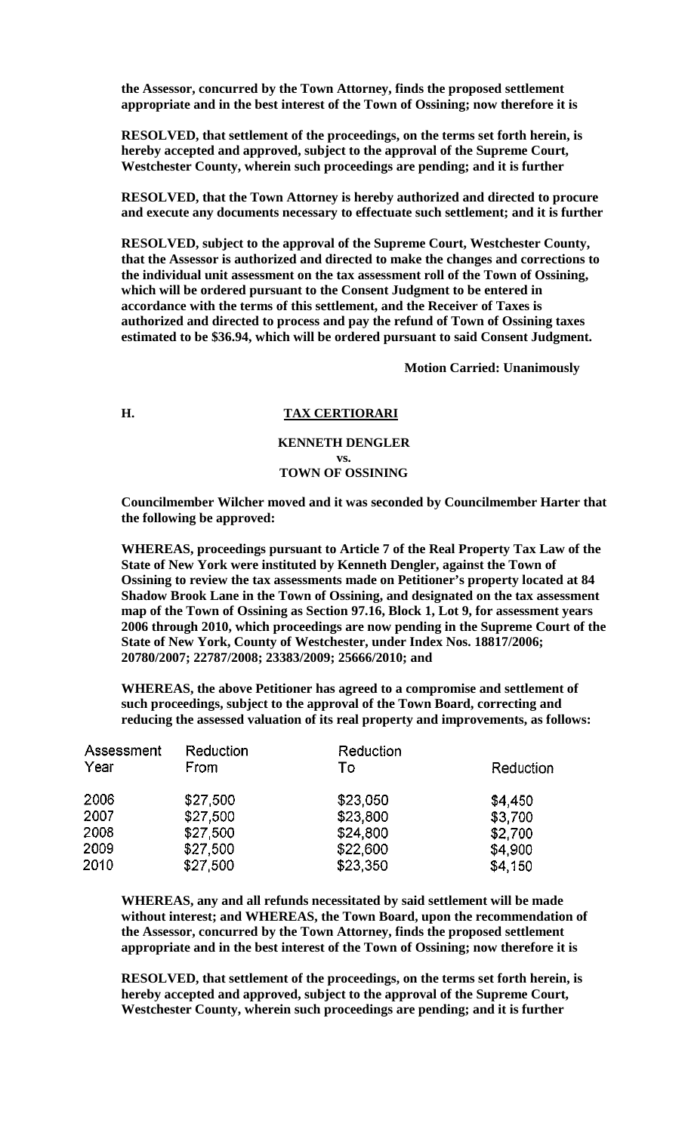**the Assessor, concurred by the Town Attorney, finds the proposed settlement appropriate and in the best interest of the Town of Ossining; now therefore it is** 

**RESOLVED, that settlement of the proceedings, on the terms set forth herein, is hereby accepted and approved, subject to the approval of the Supreme Court, Westchester County, wherein such proceedings are pending; and it is further** 

**RESOLVED, that the Town Attorney is hereby authorized and directed to procure and execute any documents necessary to effectuate such settlement; and it is further** 

**RESOLVED, subject to the approval of the Supreme Court, Westchester County, that the Assessor is authorized and directed to make the changes and corrections to the individual unit assessment on the tax assessment roll of the Town of Ossining, which will be ordered pursuant to the Consent Judgment to be entered in accordance with the terms of this settlement, and the Receiver of Taxes is authorized and directed to process and pay the refund of Town of Ossining taxes estimated to be \$36.94, which will be ordered pursuant to said Consent Judgment.**

**Motion Carried: Unanimously**

# **H. TAX CERTIORARI**

#### **KENNETH DENGLER vs. TOWN OF OSSINING**

**Councilmember Wilcher moved and it was seconded by Councilmember Harter that the following be approved:**

**WHEREAS, proceedings pursuant to Article 7 of the Real Property Tax Law of the State of New York were instituted by Kenneth Dengler, against the Town of Ossining to review the tax assessments made on Petitioner's property located at 84 Shadow Brook Lane in the Town of Ossining, and designated on the tax assessment map of the Town of Ossining as Section 97.16, Block 1, Lot 9, for assessment years 2006 through 2010, which proceedings are now pending in the Supreme Court of the State of New York, County of Westchester, under Index Nos. 18817/2006; 20780/2007; 22787/2008; 23383/2009; 25666/2010; and** 

**WHEREAS, the above Petitioner has agreed to a compromise and settlement of such proceedings, subject to the approval of the Town Board, correcting and reducing the assessed valuation of its real property and improvements, as follows:** 

| Assessment | Reduction | Reduction |           |
|------------|-----------|-----------|-----------|
| Year       | From      | To        | Reduction |
| 2006       | \$27,500  | \$23,050  | \$4,450   |
| 2007       | \$27,500  | \$23,800  | \$3,700   |
| 2008       | \$27,500  | \$24,800  | \$2,700   |
| 2009       | \$27,500  | \$22,600  | \$4,900   |
| 2010       | \$27,500  | \$23,350  | \$4,150   |

**WHEREAS, any and all refunds necessitated by said settlement will be made without interest; and WHEREAS, the Town Board, upon the recommendation of the Assessor, concurred by the Town Attorney, finds the proposed settlement appropriate and in the best interest of the Town of Ossining; now therefore it is** 

**RESOLVED, that settlement of the proceedings, on the terms set forth herein, is hereby accepted and approved, subject to the approval of the Supreme Court, Westchester County, wherein such proceedings are pending; and it is further**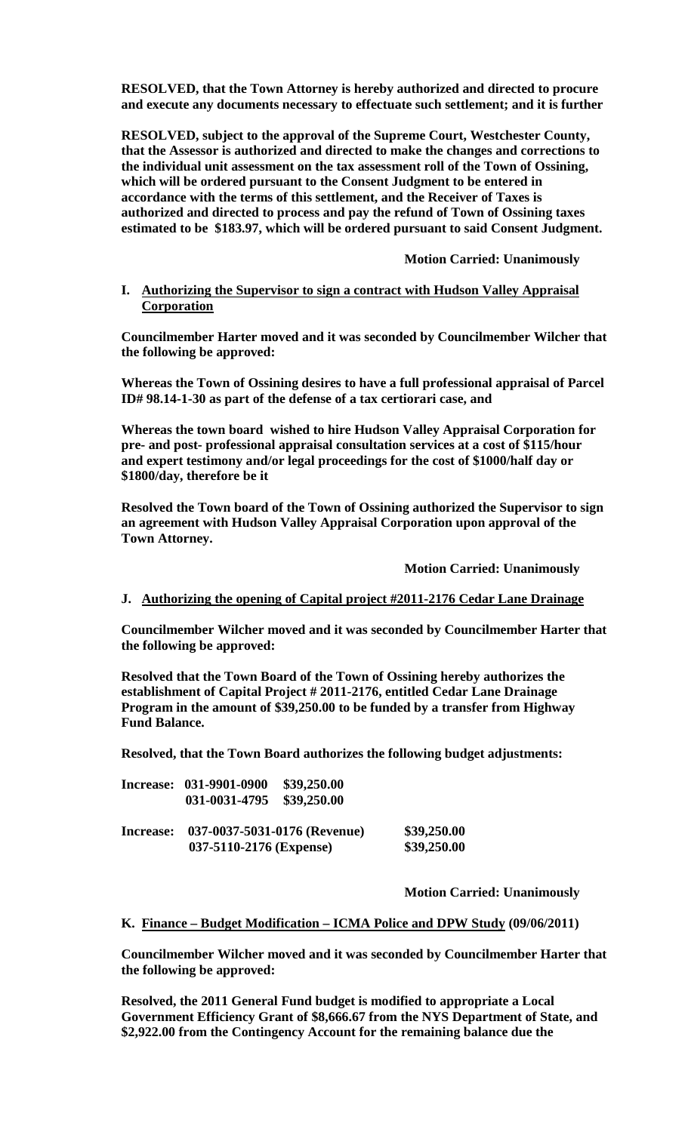**RESOLVED, that the Town Attorney is hereby authorized and directed to procure and execute any documents necessary to effectuate such settlement; and it is further** 

**RESOLVED, subject to the approval of the Supreme Court, Westchester County, that the Assessor is authorized and directed to make the changes and corrections to the individual unit assessment on the tax assessment roll of the Town of Ossining, which will be ordered pursuant to the Consent Judgment to be entered in accordance with the terms of this settlement, and the Receiver of Taxes is authorized and directed to process and pay the refund of Town of Ossining taxes estimated to be \$183.97, which will be ordered pursuant to said Consent Judgment.**

**Motion Carried: Unanimously**

#### **I. Authorizing the Supervisor to sign a contract with Hudson Valley Appraisal Corporation**

**Councilmember Harter moved and it was seconded by Councilmember Wilcher that the following be approved:**

**Whereas the Town of Ossining desires to have a full professional appraisal of Parcel ID# 98.14-1-30 as part of the defense of a tax certiorari case, and**

**Whereas the town board wished to hire Hudson Valley Appraisal Corporation for pre- and post- professional appraisal consultation services at a cost of \$115/hour and expert testimony and/or legal proceedings for the cost of \$1000/half day or \$1800/day, therefore be it** 

**Resolved the Town board of the Town of Ossining authorized the Supervisor to sign an agreement with Hudson Valley Appraisal Corporation upon approval of the Town Attorney.**

**Motion Carried: Unanimously**

### **J. Authorizing the opening of Capital project #2011-2176 Cedar Lane Drainage**

**Councilmember Wilcher moved and it was seconded by Councilmember Harter that the following be approved:**

**Resolved that the Town Board of the Town of Ossining hereby authorizes the establishment of Capital Project # 2011-2176, entitled Cedar Lane Drainage Program in the amount of \$39,250.00 to be funded by a transfer from Highway Fund Balance.**

**Resolved, that the Town Board authorizes the following budget adjustments:**

|           | Increase: 031-9901-0900<br>031-0031-4795                | \$39,250.00<br>\$39,250.00 |                            |
|-----------|---------------------------------------------------------|----------------------------|----------------------------|
| Increase: | 037-0037-5031-0176 (Revenue)<br>037-5110-2176 (Expense) |                            | \$39,250.00<br>\$39,250.00 |

**Motion Carried: Unanimously**

#### **K. Finance – Budget Modification – ICMA Police and DPW Study (09/06/2011)**

**Councilmember Wilcher moved and it was seconded by Councilmember Harter that the following be approved:**

**Resolved, the 2011 General Fund budget is modified to appropriate a Local Government Efficiency Grant of \$8,666.67 from the NYS Department of State, and \$2,922.00 from the Contingency Account for the remaining balance due the**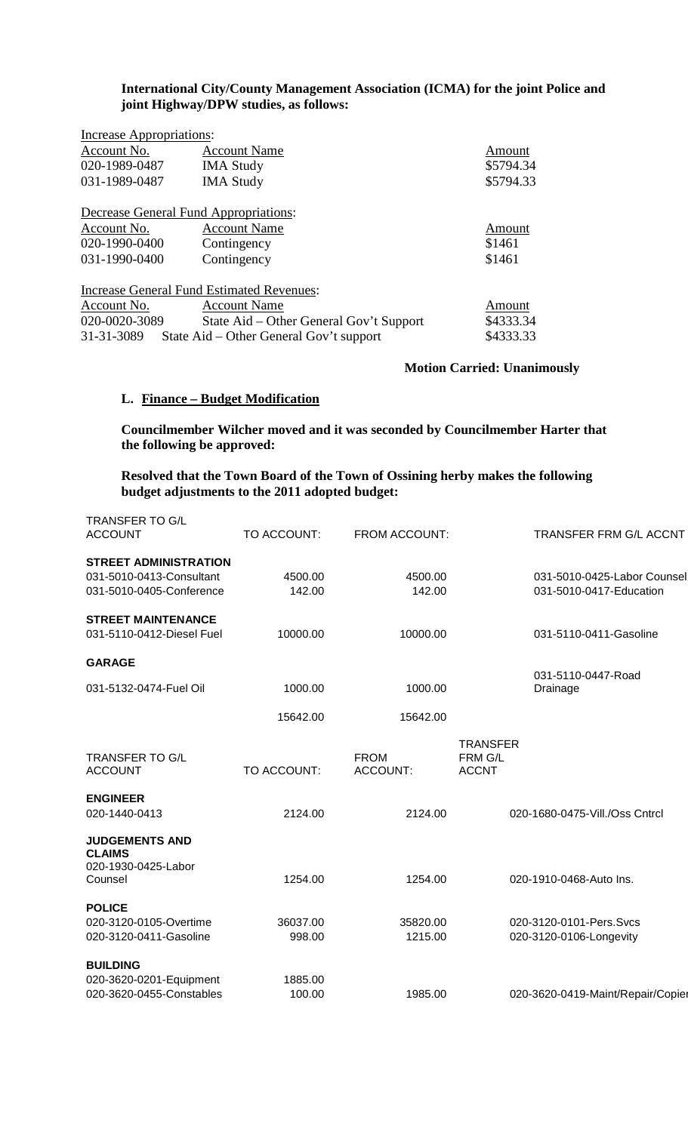# **International City/County Management Association (ICMA) for the joint Police and joint Highway/DPW studies, as follows:**

| Increase Appropriations:                         |           |
|--------------------------------------------------|-----------|
| <b>Account Name</b>                              | Amount    |
| <b>IMA Study</b>                                 | \$5794.34 |
| <b>IMA Study</b>                                 | \$5794.33 |
| Decrease General Fund Appropriations:            |           |
| <b>Account Name</b>                              | Amount    |
| Contingency                                      | \$1461    |
| Contingency                                      | \$1461    |
| <b>Increase General Fund Estimated Revenues:</b> |           |
| <b>Account Name</b>                              | Amount    |
| State Aid – Other General Gov't Support          | \$4333.34 |
| State Aid – Other General Gov't support          | \$4333.33 |
|                                                  |           |

**Motion Carried: Unanimously**

# **L. Finance – Budget Modification**

**Councilmember Wilcher moved and it was seconded by Councilmember Harter that the following be approved:**

**Resolved that the Town Board of the Town of Ossining herby makes the following budget adjustments to the 2011 adopted budget:**

| <b>TRANSFER TO G/L</b><br><b>ACCOUNT</b>                                             | TO ACCOUNT:        | FROM ACCOUNT:           | TRANSFER FRM G/L ACCNT                                 |
|--------------------------------------------------------------------------------------|--------------------|-------------------------|--------------------------------------------------------|
| <b>STREET ADMINISTRATION</b><br>031-5010-0413-Consultant<br>031-5010-0405-Conference | 4500.00<br>142.00  | 4500.00<br>142.00       | 031-5010-0425-Labor Counsel<br>031-5010-0417-Education |
| <b>STREET MAINTENANCE</b><br>031-5110-0412-Diesel Fuel                               | 10000.00           | 10000.00                | 031-5110-0411-Gasoline                                 |
| <b>GARAGE</b>                                                                        |                    |                         | 031-5110-0447-Road                                     |
| 031-5132-0474-Fuel Oil                                                               | 1000.00            | 1000.00                 | Drainage                                               |
|                                                                                      | 15642.00           | 15642.00                |                                                        |
| <b>TRANSFER TO G/L</b><br><b>ACCOUNT</b>                                             | TO ACCOUNT:        | <b>FROM</b><br>ACCOUNT: | <b>TRANSFER</b><br>FRM G/L<br><b>ACCNT</b>             |
| <b>ENGINEER</b><br>020-1440-0413                                                     | 2124.00            | 2124.00                 | 020-1680-0475-Vill./Oss Cntrcl                         |
| <b>JUDGEMENTS AND</b><br><b>CLAIMS</b><br>020-1930-0425-Labor<br>Counsel             | 1254.00            | 1254.00                 | 020-1910-0468-Auto Ins.                                |
| <b>POLICE</b><br>020-3120-0105-Overtime<br>020-3120-0411-Gasoline                    | 36037.00<br>998.00 | 35820.00<br>1215.00     | 020-3120-0101-Pers.Svcs<br>020-3120-0106-Longevity     |
| <b>BUILDING</b><br>020-3620-0201-Equipment<br>020-3620-0455-Constables               | 1885.00<br>100.00  | 1985.00                 | 020-3620-0419-Maint/Repair/Copier                      |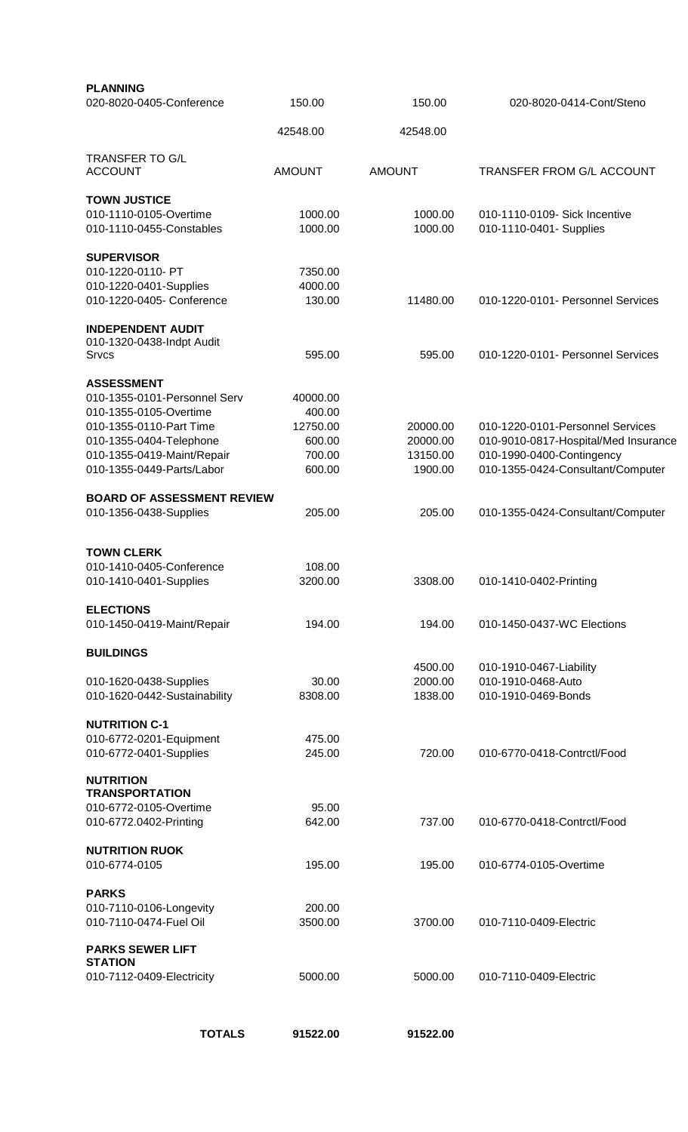| <b>PLANNING</b><br>020-8020-0405-Conference           | 150.00             | 150.00               | 020-8020-0414-Cont/Steno                                          |
|-------------------------------------------------------|--------------------|----------------------|-------------------------------------------------------------------|
|                                                       | 42548.00           | 42548.00             |                                                                   |
| <b>TRANSFER TO G/L</b>                                |                    |                      |                                                                   |
| <b>ACCOUNT</b>                                        | <b>AMOUNT</b>      | <b>AMOUNT</b>        | <b>TRANSFER FROM G/L ACCOUNT</b>                                  |
| <b>TOWN JUSTICE</b>                                   |                    |                      |                                                                   |
| 010-1110-0105-Overtime<br>010-1110-0455-Constables    | 1000.00<br>1000.00 | 1000.00<br>1000.00   | 010-1110-0109- Sick Incentive<br>010-1110-0401- Supplies          |
| <b>SUPERVISOR</b>                                     |                    |                      |                                                                   |
| 010-1220-0110- PT                                     | 7350.00            |                      |                                                                   |
| 010-1220-0401-Supplies<br>010-1220-0405- Conference   | 4000.00<br>130.00  | 11480.00             | 010-1220-0101- Personnel Services                                 |
| <b>INDEPENDENT AUDIT</b>                              |                    |                      |                                                                   |
| 010-1320-0438-Indpt Audit<br>Srvcs                    | 595.00             | 595.00               | 010-1220-0101- Personnel Services                                 |
| <b>ASSESSMENT</b>                                     |                    |                      |                                                                   |
| 010-1355-0101-Personnel Serv                          | 40000.00           |                      |                                                                   |
| 010-1355-0105-Overtime                                | 400.00             |                      |                                                                   |
| 010-1355-0110-Part Time                               | 12750.00           | 20000.00             | 010-1220-0101-Personnel Services                                  |
| 010-1355-0404-Telephone<br>010-1355-0419-Maint/Repair | 600.00<br>700.00   | 20000.00<br>13150.00 | 010-9010-0817-Hospital/Med Insurance<br>010-1990-0400-Contingency |
| 010-1355-0449-Parts/Labor                             | 600.00             | 1900.00              | 010-1355-0424-Consultant/Computer                                 |
| <b>BOARD OF ASSESSMENT REVIEW</b>                     |                    |                      |                                                                   |
| 010-1356-0438-Supplies                                | 205.00             | 205.00               | 010-1355-0424-Consultant/Computer                                 |
| <b>TOWN CLERK</b>                                     |                    |                      |                                                                   |
| 010-1410-0405-Conference                              | 108.00             |                      |                                                                   |
| 010-1410-0401-Supplies                                | 3200.00            | 3308.00              | 010-1410-0402-Printing                                            |
| <b>ELECTIONS</b>                                      |                    |                      |                                                                   |
| 010-1450-0419-Maint/Repair                            | 194.00             | 194.00               | 010-1450-0437-WC Elections                                        |
| <b>BUILDINGS</b>                                      |                    |                      |                                                                   |
|                                                       |                    | 4500.00              | 010-1910-0467-Liability                                           |
| 010-1620-0438-Supplies                                | 30.00              | 2000.00              | 010-1910-0468-Auto                                                |
| 010-1620-0442-Sustainability                          | 8308.00            | 1838.00              | 010-1910-0469-Bonds                                               |
| <b>NUTRITION C-1</b>                                  |                    |                      |                                                                   |
| 010-6772-0201-Equipment<br>010-6772-0401-Supplies     | 475.00<br>245.00   | 720.00               | 010-6770-0418-Contrctl/Food                                       |
| <b>NUTRITION</b>                                      |                    |                      |                                                                   |
| <b>TRANSPORTATION</b>                                 |                    |                      |                                                                   |
| 010-6772-0105-Overtime                                | 95.00              |                      |                                                                   |
| 010-6772.0402-Printing                                | 642.00             | 737.00               | 010-6770-0418-Contrctl/Food                                       |
| <b>NUTRITION RUOK</b>                                 |                    |                      |                                                                   |
| 010-6774-0105                                         | 195.00             | 195.00               | 010-6774-0105-Overtime                                            |
| <b>PARKS</b>                                          |                    |                      |                                                                   |
| 010-7110-0106-Longevity                               | 200.00             |                      |                                                                   |
| 010-7110-0474-Fuel Oil                                | 3500.00            | 3700.00              | 010-7110-0409-Electric                                            |
| <b>PARKS SEWER LIFT</b><br><b>STATION</b>             |                    |                      |                                                                   |
| 010-7112-0409-Electricity                             | 5000.00            | 5000.00              | 010-7110-0409-Electric                                            |
|                                                       |                    |                      |                                                                   |
| <b>TOTALS</b>                                         | 91522.00           | 91522.00             |                                                                   |